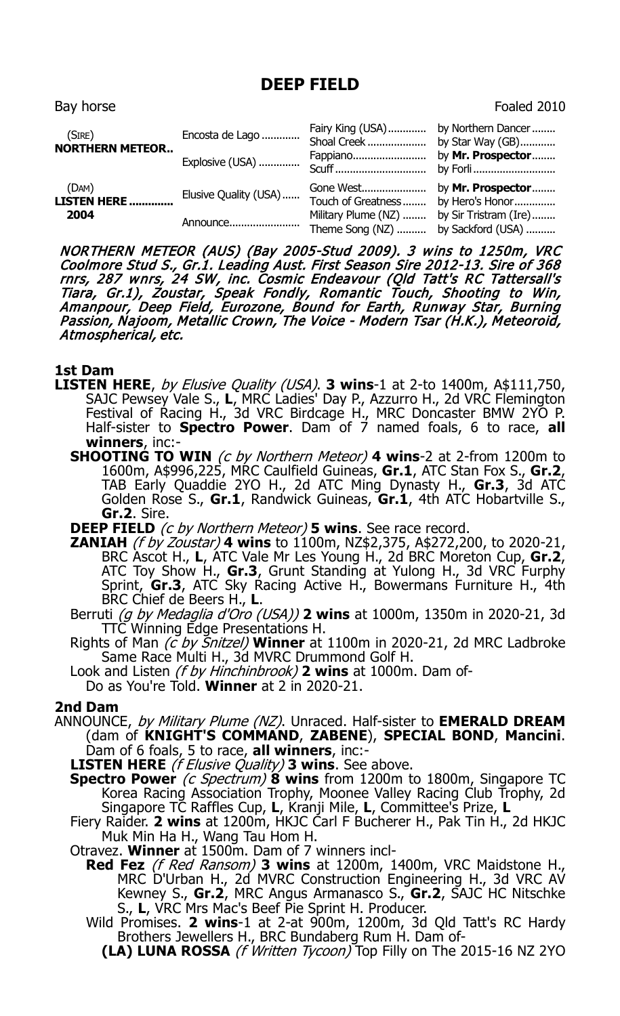## **DEEP FIELD**

Bay horse Foaled 2010 and the Bay horse Foaled 2010 and the Foaled 2010 and the Foaled 2010 and the Foaled 2010  $\sim$ 

| (SIRE)<br><b>NORTHERN METEOR</b>     | Encosta de Lago<br>Explosive (USA) | Fairy King (USA)<br>Shoal Creek<br>Fappiano<br>Scuff         | by Northern Dancer<br>by Star Way (GB)<br>by Mr. Prospector<br>by Forli |
|--------------------------------------|------------------------------------|--------------------------------------------------------------|-------------------------------------------------------------------------|
| (DAM)<br><b>LISTEN HERE </b><br>2004 | Elusive Quality (USA)<br>Announce  | Touch of Greatness<br>Military Plume (NZ)<br>Theme Song (NZ) | by Hero's Honor<br>by Sir Tristram (Ire)<br>by Sackford (USA)           |

NORTHERN METEOR (AUS) (Bay 2005-Stud 2009). 3 wins to 1250m, VRC Coolmore Stud S., Gr.1. Leading Aust. First Season Sire 2012-13. Sire of 368 rnrs, 287 wnrs, 24 SW, inc. Cosmic Endeavour (Qld Tatt's RC Tattersall's Tiara, Gr.1), Zoustar, Speak Fondly, Romantic Touch, Shooting to Win, Amanpour, Deep Field, Eurozone, Bound for Earth, Runway Star, Burning Passion, Najoom, Metallic Crown, The Voice - Modern Tsar (H.K.), Meteoroid, Atmospherical, etc.

## **1st Dam**

- **LISTEN HERE**, by Elusive Quality (USA). **3 wins**-1 at 2-to 1400m, A\$111,750, SAJC Pewsey Vale S., **L**, MRC Ladies' Day P., Azzurro H., 2d VRC Flemington Festival of Racing H., 3d VRC Birdcage H., MRC Doncaster BMW 2YO P. Half-sister to **Spectro Power**. Dam of 7 named foals, 6 to race, **all winners**, inc:-
	- **SHOOTING TO WIN** (c by Northern Meteor) 4 wins-2 at 2-from 1200m to 1600m, A\$996,225, MRC Caulfield Guineas, **Gr.1**, ATC Stan Fox S., **Gr.2**, TAB Early Quaddie 2YO H., 2d ATC Ming Dynasty H., **Gr.3**, 3d ATC Golden Rose S., **Gr.1**, Randwick Guineas, **Gr.1**, 4th ATC Hobartville S., **Gr.2**. Sire.
	- **DEEP FIELD** (c by Northern Meteor) **5 wins**. See race record.
	- **ZANIAH** (f by Zoustar) **4 wins** to 1100m, NZ\$2,375, A\$272,200, to 2020-21, BRC Ascot H., **L**, ATC Vale Mr Les Young H., 2d BRC Moreton Cup, **Gr.2**, ATC Toy Show H., **Gr.3**, Grunt Standing at Yulong H., 3d VRC Furphy Sprint, **Gr.3**, ATC Sky Racing Active H., Bowermans Furniture H., 4th BRC Chief de Beers H., **L**.
	- Berruti (g by Medaglia d'Oro (USA)) **2 wins** at 1000m, 1350m in 2020-21, 3d TTC Winning Edge Presentations H.
	- Rights of Man (c by Snitzel) **Winner** at 1100m in 2020-21, 2d MRC Ladbroke Same Race Multi H., 3d MVRC Drummond Golf H.
	- Look and Listen (f by Hinchinbrook) **2 wins** at 1000m. Dam of-
	- Do as You're Told. **Winner** at 2 in 2020-21.

## **2nd Dam**

- ANNOUNCE, by Military Plume (NZ). Unraced. Half-sister to **EMERALD DREAM** (dam of **KNIGHT'S COMMAND**, **ZABENE**), **SPECIAL BOND**, **Mancini**.
	- Dam of 6 foals, 5 to race, **all winners**, inc:- **LISTEN HERE** (f Elusive Quality) **3 wins**. See above.
	- **Spectro Power** (c Spectrum)  $\hat{\mathbf{8}}$  wins from 1200m to 1800m, Singapore TC Korea Racing Association Trophy, Moonee Valley Racing Club Trophy, 2d Singapore TC Raffles Cup, **L**, Kranji Mile, **L**, Committee's Prize, **L**
	- Fiery Raider. **2 wins** at 1200m, HKJC Carl F Bucherer H., Pak Tin H., 2d HKJC Muk Min Ha H., Wang Tau Hom H.
	- Otravez. **Winner** at 1500m. Dam of 7 winners incl-
		- **Red Fez** (f Red Ransom) **3 wins** at 1200m, 1400m, VRC Maidstone H., MRC D'Urban H., 2d MVRC Construction Engineering H., 3d VRC AV Kewney S., **Gr.2**, MRC Angus Armanasco S., **Gr.2**, SAJC HC Nitschke S., **L**, VRC Mrs Mac's Beef Pie Sprint H. Producer.
		- Wild Promises. **2 wins**-1 at 2-at 900m, 1200m, 3d Qld Tatt's RC Hardy Brothers Jewellers H., BRC Bundaberg Rum H. Dam of-
			- **(LA) LUNA ROSSA** (f Written Tycoon) Top Filly on The 2015-16 NZ 2YO